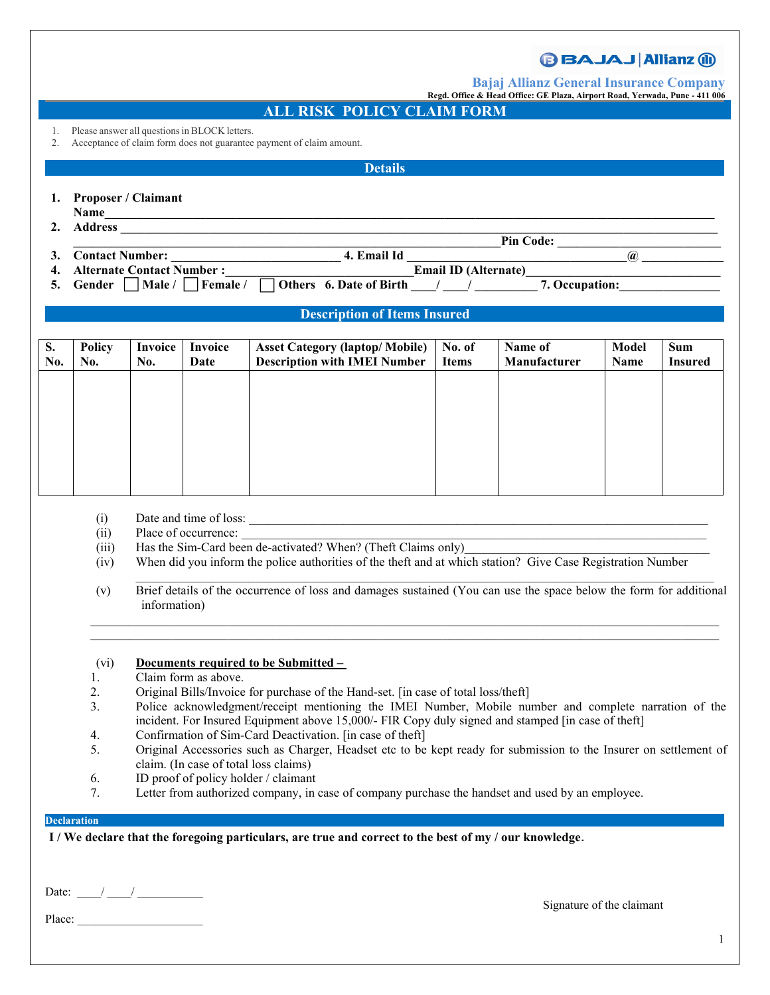# **BBAJAJ Allianz (ii)**

**Bajaj Allianz General Insurance Company**

**Regd. Office & Head Office: GE Plaza, AirportRoad, Yerwada, Pune - 411 006**

### **ALL RISK POLICY CLAIM FORM**

- 1. Please answer all questions in BLOCK letters.
- 2. Acceptance of claim form does not guarantee payment of claim amount.

### **Details**

- **1. Proposer / Claimant**
- **Name\_\_\_\_\_\_\_\_\_\_\_\_\_\_\_\_\_\_\_\_\_\_\_\_\_\_\_\_\_\_\_\_\_\_\_\_\_\_\_\_\_\_\_\_\_\_\_\_\_\_\_\_\_\_\_\_\_\_\_\_\_\_\_\_\_\_\_\_\_\_\_\_\_\_\_\_\_\_\_\_\_\_\_\_\_\_\_\_\_\_\_\_\_\_\_\_\_**
- **2. Address \_\_\_\_\_\_\_\_\_\_\_\_\_\_\_\_\_\_\_\_\_\_\_\_\_\_\_\_\_\_\_\_\_\_\_\_\_\_\_\_\_\_\_\_\_\_\_\_\_\_\_\_\_\_\_\_\_\_\_\_\_\_\_\_\_\_\_\_\_\_\_\_\_\_\_\_\_\_\_\_\_\_\_\_\_\_\_\_\_\_\_\_\_\_\_**
- **a Let us a** *Let us a let us a let us a let us a let us a let us a let us a let us a let us a let us a let us a let us a let us a let*  $\mathbb{R}^2$  *be a let us a let us a let us a let us a let*  $\mathbb{R}^2$  *be a let us a let* **3. Contact Number: \_\_\_\_\_\_\_\_\_\_\_\_\_\_\_\_\_\_\_\_\_\_\_\_\_\_\_ 4. Email Id \_\_\_\_\_\_\_\_\_\_\_\_\_\_\_\_\_\_\_\_\_\_\_\_\_\_\_\_\_\_\_\_\_\_\_@ \_\_\_\_\_\_\_\_\_\_\_\_\_**
- **4. Alternate Contact Number :\_\_\_\_\_\_\_\_\_\_\_\_\_\_\_\_\_\_\_\_\_\_\_\_\_\_\_\_\_\_Email ID (Alternate)\_\_\_\_\_\_\_\_\_\_\_\_\_\_\_\_\_\_\_\_\_\_\_\_\_\_\_\_\_\_\_**
- **5. Gender**  $\Box$  **Male** /  $\Box$  **Female** /  $\Box$  **Others 6.** Date of Birth  $\Box$  /  $\Box$  /  $\Box$  **7.** Occupation:

## **Description of Items Insured**

| S.<br>No. | Policy<br>No. | Invoice<br>No. | Invoice<br>Date | <b>Asset Category (laptop/ Mobile)</b><br><b>Description with IMEI Number</b> | No. of<br><b>Items</b> | Name of<br>Manufacturer | Model<br>Name | <b>Sum</b><br><b>Insured</b> |  |
|-----------|---------------|----------------|-----------------|-------------------------------------------------------------------------------|------------------------|-------------------------|---------------|------------------------------|--|
|           |               |                |                 |                                                                               |                        |                         |               |                              |  |
|           |               |                |                 |                                                                               |                        |                         |               |                              |  |
|           |               |                |                 |                                                                               |                        |                         |               |                              |  |
|           |               |                |                 |                                                                               |                        |                         |               |                              |  |
|           |               |                |                 |                                                                               |                        |                         |               |                              |  |

- $(i)$  Date and time of loss:
- $(ii)$  Place of occurrence:
- (iii) Has the Sim-Card been de-activated? When? (Theft Claims only)
- (iv) When did you inform the police authorities of the theft and at which station? Give Case Registration Number
- $\_$ (v) Brief details of the occurrence of loss and damages sustained (You can use the space below the form for additional information)

 $\_$  , and the set of the set of the set of the set of the set of the set of the set of the set of the set of the set of the set of the set of the set of the set of the set of the set of the set of the set of the set of th  $\_$  , and the state of the state of the state of the state of the state of the state of the state of the state of the state of the state of the state of the state of the state of the state of the state of the state of the

#### (vi) **Documents required to be Submitted –**

- 1. Claim form as above.
- 2. Original Bills/Invoice for purchase of the Hand-set. [in case of total loss/theft]
- 3. Police acknowledgment/receipt mentioning the IMEI Number, Mobile number and complete narration of the incident. For Insured Equipment above 15,000/- FIR Copy duly signed and stamped [in case of theft]
- 4. Confirmation of Sim-Card Deactivation. [in case of theft]
- 5. Original Accessories such as Charger, Headset etc to be kept ready for submission to the Insurer on settlement of claim. (In case of total loss claims)
- 6. ID proof of policy holder / claimant
- 7. Letter from authorized company, in case of company purchase the handset and used by an employee.

#### **Declaration**

I/We declare that the foregoing particulars, are true and correct to the best of my/our knowledge.

Date:  $\frac{1}{2}$  /  $\frac{1}{2}$ 

Signature of the claimant

Place: \_\_\_\_\_\_\_\_\_\_\_\_\_\_\_\_\_\_\_\_\_